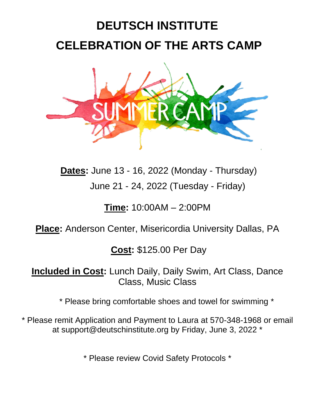## **DEUTSCH INSTITUTE CELEBRATION OF THE ARTS CAMP**



**Dates:** June 13 - 16, 2022 (Monday - Thursday) June 21 - 24, 2022 (Tuesday - Friday)

**Time:** 10:00AM – 2:00PM

## **Place:** Anderson Center, Misericordia University Dallas, PA

**Cost:** \$125.00 Per Day

**Included in Cost:** Lunch Daily, Daily Swim, Art Class, Dance Class, Music Class

\* Please bring comfortable shoes and towel for swimming \*

\* Please remit Application and Payment to Laura at 570-348-1968 or email at support@deutschinstitute.org by Friday, June 3, 2022 \*

\* Please review Covid Safety Protocols \*